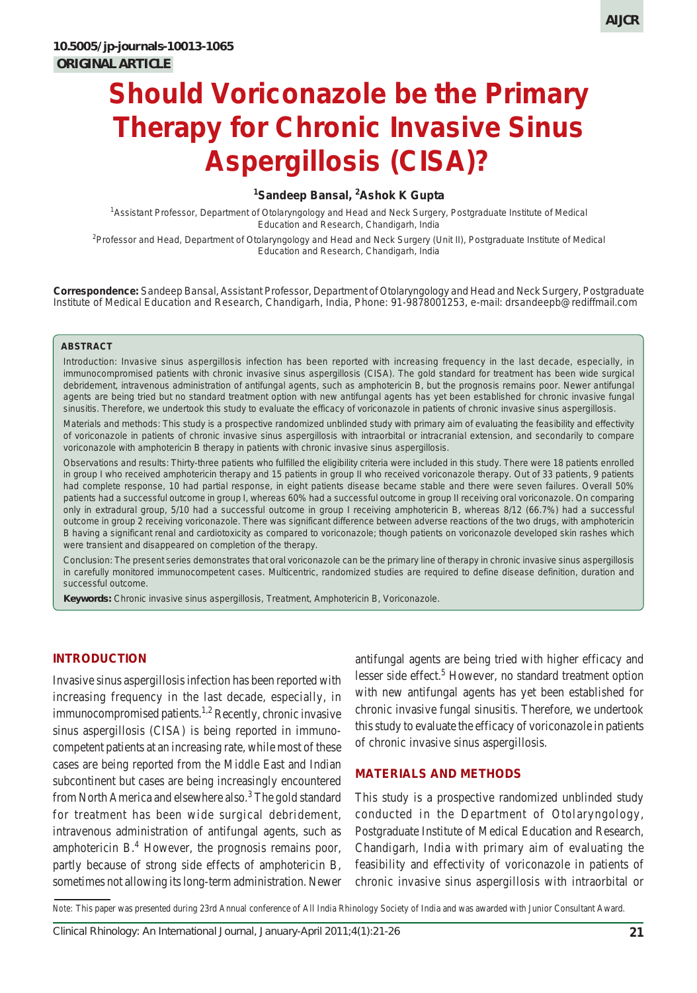### **1 Sandeep Bansal, <sup>2</sup> Ashok K Gupta**

1 Assistant Professor, Department of Otolaryngology and Head and Neck Surgery, Postgraduate Institute of Medical Education and Research, Chandigarh, India

2 Professor and Head, Department of Otolaryngology and Head and Neck Surgery (Unit II), Postgraduate Institute of Medical Education and Research, Chandigarh, India

**Correspondence:** Sandeep Bansal, Assistant Professor, Department of Otolaryngology and Head and Neck Surgery, Postgraduate Institute of Medical Education and Research, Chandigarh, India, Phone: 91-9878001253, e-mail: drsandeepb@rediffmail.com

#### **ABSTRACT**

*Introduction*: Invasive sinus aspergillosis infection has been reported with increasing frequency in the last decade, especially, in immunocompromised patients with chronic invasive sinus aspergillosis (CISA). The gold standard for treatment has been wide surgical debridement, intravenous administration of antifungal agents, such as amphotericin B, but the prognosis remains poor. Newer antifungal agents are being tried but no standard treatment option with new antifungal agents has yet been established for chronic invasive fungal sinusitis. Therefore, we undertook this study to evaluate the efficacy of voriconazole in patients of chronic invasive sinus aspergillosis.

*Materials and methods*: This study is a prospective randomized unblinded study with primary aim of evaluating the feasibility and effectivity of voriconazole in patients of chronic invasive sinus aspergillosis with intraorbital or intracranial extension, and secondarily to compare voriconazole with amphotericin B therapy in patients with chronic invasive sinus aspergillosis.

*Observations and results*: Thirty-three patients who fulfilled the eligibility criteria were included in this study. There were 18 patients enrolled in group I who received amphotericin therapy and 15 patients in group II who received voriconazole therapy. Out of 33 patients, 9 patients had complete response, 10 had partial response, in eight patients disease became stable and there were seven failures. Overall 50% patients had a successful outcome in group I, whereas 60% had a successful outcome in group II receiving oral voriconazole. On comparing only in extradural group, 5/10 had a successful outcome in group I receiving amphotericin B, whereas 8/12 (66.7%) had a successful outcome in group 2 receiving voriconazole. There was significant difference between adverse reactions of the two drugs, with amphotericin B having a significant renal and cardiotoxicity as compared to voriconazole; though patients on voriconazole developed skin rashes which were transient and disappeared on completion of the therapy.

*Conclusion*: The present series demonstrates that oral voriconazole can be the primary line of therapy in chronic invasive sinus aspergillosis in carefully monitored immunocompetent cases. Multicentric, randomized studies are required to define disease definition, duration and successful outcome.

**Keywords:** Chronic invasive sinus aspergillosis, Treatment, Amphotericin B, Voriconazole.

#### **INTRODUCTION**

Invasive sinus aspergillosis infection has been reported with increasing frequency in the last decade, especially, in immunocompromised patients.<sup>1,2</sup> Recently, chronic invasive sinus aspergillosis (CISA) is being reported in immunocompetent patients at an increasing rate, while most of these cases are being reported from the Middle East and Indian subcontinent but cases are being increasingly encountered from North America and elsewhere also.<sup>3</sup> The gold standard for treatment has been wide surgical debridement, intravenous administration of antifungal agents, such as amphotericin  $B^4$ . However, the prognosis remains poor, partly because of strong side effects of amphotericin B, sometimes not allowing its long-term administration. Newer antifungal agents are being tried with higher efficacy and lesser side effect.<sup>5</sup> However, no standard treatment option with new antifungal agents has yet been established for chronic invasive fungal sinusitis. Therefore, we undertook this study to evaluate the efficacy of voriconazole in patients of chronic invasive sinus aspergillosis.

#### **MATERIALS AND METHODS**

This study is a prospective randomized unblinded study conducted in the Department of Otolaryngology, Postgraduate Institute of Medical Education and Research, Chandigarh, India with primary aim of evaluating the feasibility and effectivity of voriconazole in patients of chronic invasive sinus aspergillosis with intraorbital or

*Note:* This paper was presented during 23rd Annual conference of All India Rhinology Society of India and was awarded with Junior Consultant Award.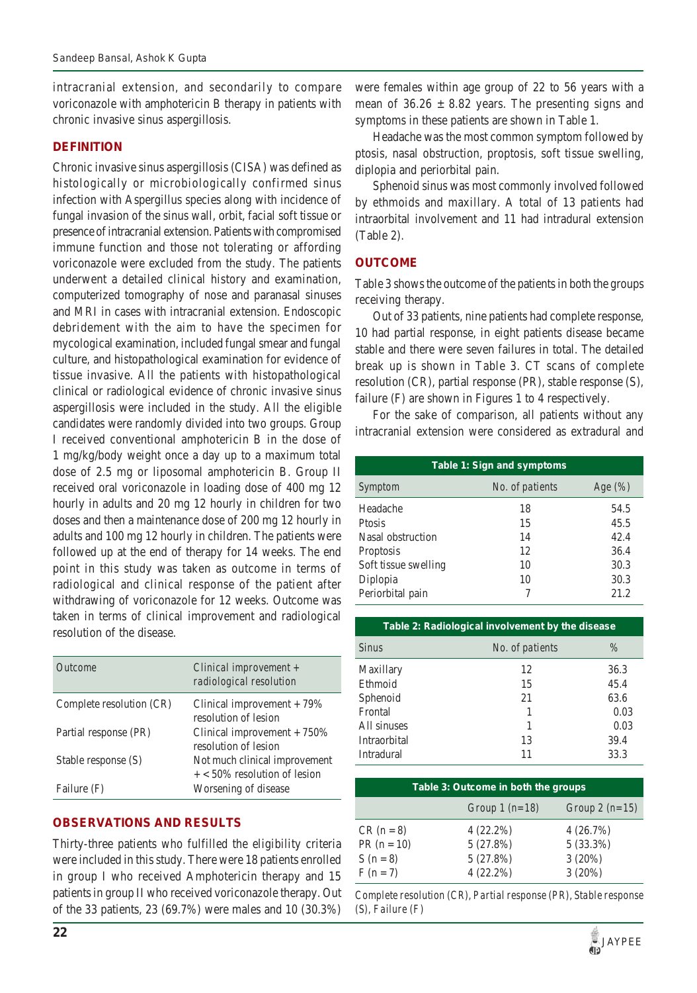intracranial extension, and secondarily to compare voriconazole with amphotericin B therapy in patients with chronic invasive sinus aspergillosis.

# **DEFINITION**

Chronic invasive sinus aspergillosis (CISA) was defined as histologically or microbiologically confirmed sinus infection with Aspergillus species along with incidence of fungal invasion of the sinus wall, orbit, facial soft tissue or presence of intracranial extension. Patients with compromised immune function and those not tolerating or affording voriconazole were excluded from the study. The patients underwent a detailed clinical history and examination, computerized tomography of nose and paranasal sinuses and MRI in cases with intracranial extension. Endoscopic debridement with the aim to have the specimen for mycological examination, included fungal smear and fungal culture, and histopathological examination for evidence of tissue invasive. All the patients with histopathological clinical or radiological evidence of chronic invasive sinus aspergillosis were included in the study. All the eligible candidates were randomly divided into two groups. Group I received conventional amphotericin B in the dose of 1 mg/kg/body weight once a day up to a maximum total dose of 2.5 mg or liposomal amphotericin B. Group II received oral voriconazole in loading dose of 400 mg 12 hourly in adults and 20 mg 12 hourly in children for two doses and then a maintenance dose of 200 mg 12 hourly in adults and 100 mg 12 hourly in children. The patients were followed up at the end of therapy for 14 weeks. The end point in this study was taken as outcome in terms of radiological and clinical response of the patient after withdrawing of voriconazole for 12 weeks. Outcome was taken in terms of clinical improvement and radiological resolution of the disease.

| <i><u>Outcome</u></i>    | Clinical improvement $+$<br>radiological resolution             |
|--------------------------|-----------------------------------------------------------------|
| Complete resolution (CR) | Clinical improvement $+79\%$<br>resolution of lesion            |
| Partial response (PR)    | Clinical improvement $+750%$<br>resolution of lesion            |
| Stable response (S)      | Not much clinical improvement<br>$+$ < 50% resolution of lesion |
| Failure (F)              | Worsening of disease                                            |

# **OBSERVATIONS AND RESULTS**

Thirty-three patients who fulfilled the eligibility criteria were included in this study. There were 18 patients enrolled in group I who received Amphotericin therapy and 15 patients in group II who received voriconazole therapy. Out of the 33 patients, 23 (69.7%) were males and 10 (30.3%)

were females within age group of 22 to 56 years with a mean of  $36.26 \pm 8.82$  years. The presenting signs and symptoms in these patients are shown in Table 1.

Headache was the most common symptom followed by ptosis, nasal obstruction, proptosis, soft tissue swelling, diplopia and periorbital pain.

Sphenoid sinus was most commonly involved followed by ethmoids and maxillary. A total of 13 patients had intraorbital involvement and 11 had intradural extension (Table 2).

# **OUTCOME**

Table 3 shows the outcome of the patients in both the groups receiving therapy.

Out of 33 patients, nine patients had complete response, 10 had partial response, in eight patients disease became stable and there were seven failures in total. The detailed break up is shown in Table 3. CT scans of complete resolution (CR), partial response (PR), stable response (S), failure (F) are shown in Figures 1 to 4 respectively.

For the sake of comparison, all patients without any intracranial extension were considered as extradural and

| Table 1: Sign and symptoms |                 |             |  |
|----------------------------|-----------------|-------------|--|
| Symptom                    | No. of patients | Age $(\% )$ |  |
| Headache                   | 18              | 54.5        |  |
| Ptosis                     | 15              | 45.5        |  |
| Nasal obstruction          | 14              | 42.4        |  |
| Proptosis                  | 12              | 36.4        |  |
| Soft tissue swelling       | 10              | 30.3        |  |
| Diplopia                   | 10              | 30.3        |  |
| Periorbital pain           |                 | 21.2        |  |

| Table 2: Radiological involvement by the disease |                 |      |
|--------------------------------------------------|-----------------|------|
| <b>Sinus</b>                                     | No. of patients | $\%$ |
| Maxillary                                        | 12              | 36.3 |
| Ethmoid                                          | 15              | 45.4 |
| Sphenoid                                         | 21              | 63.6 |
| Frontal                                          |                 | 0.03 |
| All sinuses                                      | 1               | 0.03 |
| Intraorbital                                     | 13              | 39.4 |
| Intradural                                       | 11              | 33.3 |

| Table 3: Outcome in both the groups |                 |                 |  |
|-------------------------------------|-----------------|-----------------|--|
|                                     | Group $l(n=18)$ | Group $2(n=15)$ |  |
| $CR (n = 8)$                        | $4(22.2\%)$     | 4(26.7%)        |  |
| $PR (n = 10)$                       | 5(27.8%)        | $5(33.3\%)$     |  |
| $S(n = 8)$                          | 5(27.8%)        | 3(20%)          |  |
| $F(n = 7)$                          | $4(22.2\%)$     | 3(20%)          |  |

*Complete resolution (CR), Partial response (PR), Stable response (S), Failure (F)*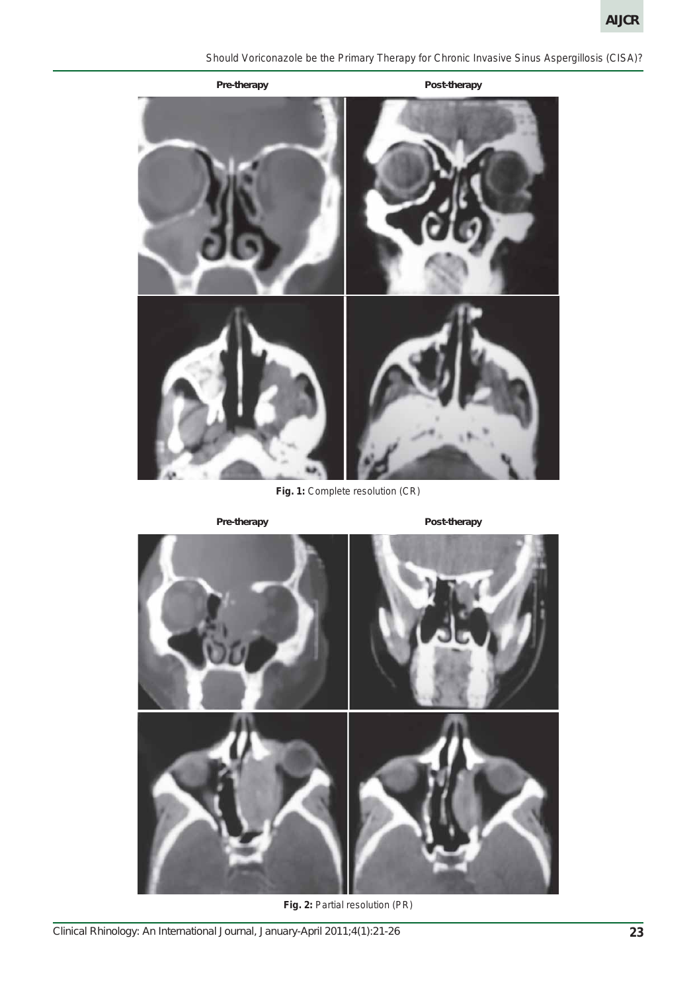*Should Voriconazole be the Primary Therapy for Chronic Invasive Sinus Aspergillosis (CISA)?*



Fig. 1: Complete resolution (CR)

Pre-therapy **Pre-therapy** Post-therapy



**Fig. 2:** Partial resolution (PR)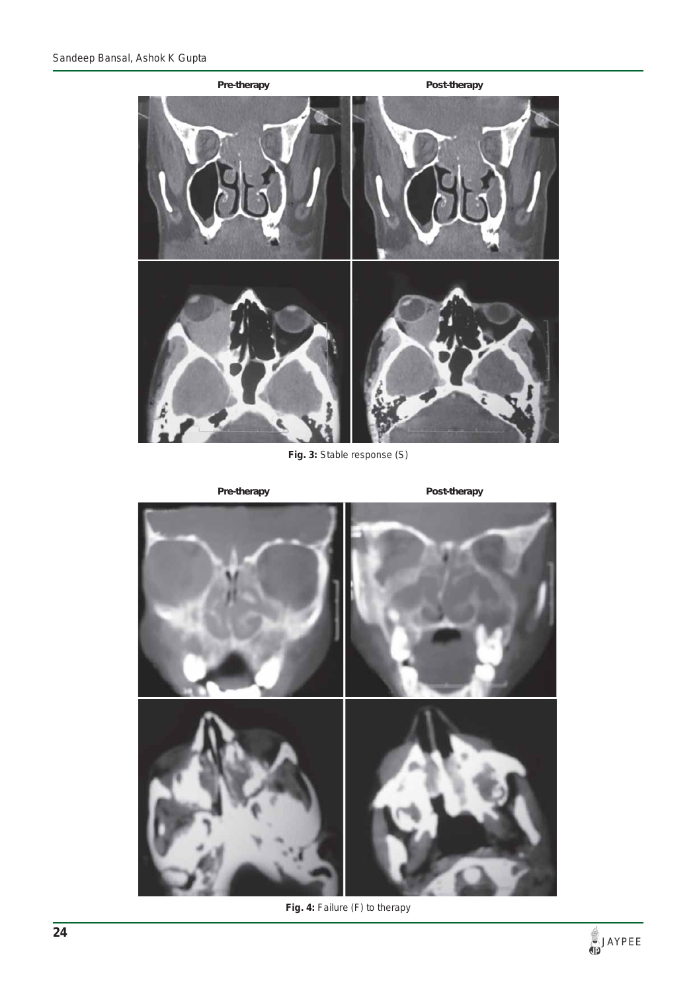

**Fig. 3:** Stable response (S)

Pre-therapy **Pre-therapy** Post-therapy



**Fig. 4:** Failure (F) to therapy

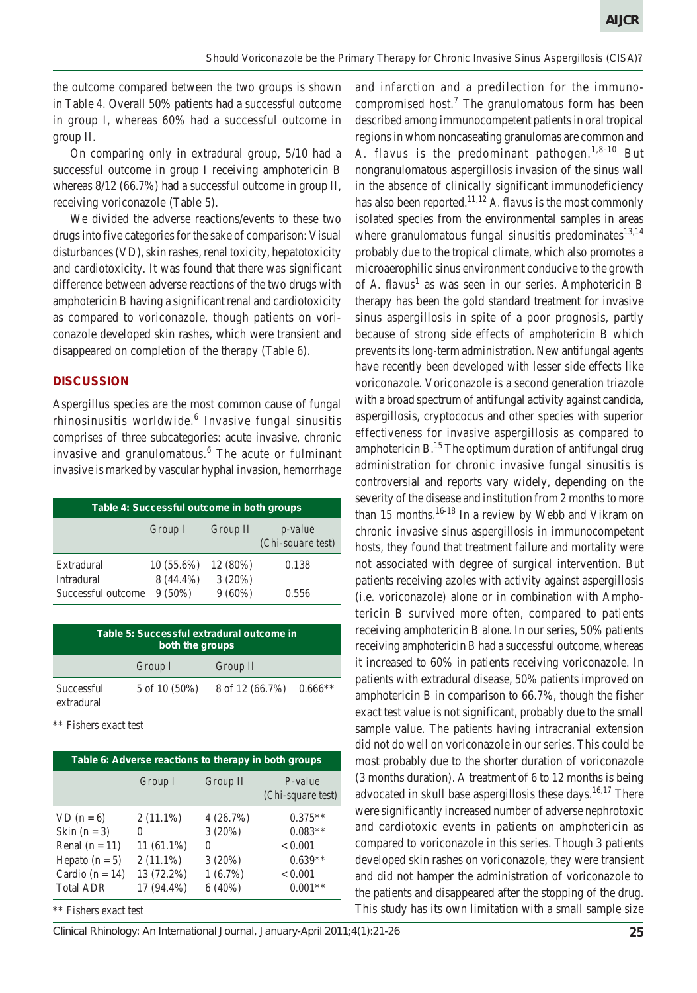and infarction and a predilection for the immuno-

the outcome compared between the two groups is shown in Table 4. Overall 50% patients had a successful outcome in group I, whereas 60% had a successful outcome in group II.

On comparing only in extradural group, 5/10 had a successful outcome in group I receiving amphotericin B whereas  $8/12$  (66.7%) had a successful outcome in group II, receiving voriconazole (Table 5).

We divided the adverse reactions/events to these two drugs into five categories for the sake of comparison: Visual disturbances (VD), skin rashes, renal toxicity, hepatotoxicity and cardiotoxicity. It was found that there was significant difference between adverse reactions of the two drugs with amphotericin B having a significant renal and cardiotoxicity as compared to voriconazole, though patients on voriconazole developed skin rashes, which were transient and disappeared on completion of the therapy (Table 6).

#### **DISCUSSION**

Aspergillus species are the most common cause of fungal rhinosinusitis worldwide.<sup>6</sup> Invasive fungal sinusitis comprises of three subcategories: acute invasive, chronic invasive and granulomatous.<sup>6</sup> The acute or fulminant invasive is marked by vascular hyphal invasion, hemorrhage

| Table 4: Successful outcome in both groups |                           |                   |                                      |
|--------------------------------------------|---------------------------|-------------------|--------------------------------------|
|                                            | Group I                   | Group II          | <i>p</i> -value<br>(Chi-square test) |
| Extradural<br>Intradural                   | $10(55.6\%)$<br>8 (44.4%) | 12(80%)<br>3(20%) | 0.138                                |
| Successful outcome                         | $9(50\%)$                 | $9(60\%)$         | 0.556                                |

| Table 5: Successful extradural outcome in<br>both the groups |               |                 |           |
|--------------------------------------------------------------|---------------|-----------------|-----------|
|                                                              | Group I       | Group II        |           |
| Successful<br>extradural                                     | 5 of 10 (50%) | 8 of 12 (66.7%) | $0.666**$ |

\*\* Fishers exact test

| Table 6: Adverse reactions to therapy in both groups |              |              |                                  |
|------------------------------------------------------|--------------|--------------|----------------------------------|
|                                                      | Group I      | Group II     | $P-value$<br>$(Chi-square test)$ |
| $VD (n = 6)$                                         | $2(11.1\%)$  | 4(26.7%)     | $0.375**$                        |
| Skin $(n = 3)$                                       | $\theta$     | 3(20%)       | $0.083**$                        |
| Renal $(n = 11)$                                     | $11(61.1\%)$ | $\mathbf{0}$ | < 0.001                          |
| Hepato $(n = 5)$                                     | $2(11.1\%)$  | 3(20%)       | $0.639**$                        |
| Cardio ( $n = 14$ )                                  | 13 (72.2%)   | $1(6.7\%)$   | < 0.001                          |
| <b>Total ADR</b>                                     | 17 (94.4%)   | $6(40\%)$    | $0.001**$                        |
|                                                      |              |              |                                  |

\*\* Fishers exact test

*Clinical Rhinology: An International Journal, January-April 2011;4(1):21-26* **25**

compromised host.<sup>7</sup> The granulomatous form has been described among immunocompetent patients in oral tropical regions in whom noncaseating granulomas are common and *A. flavus* is the predominant pathogen.1,8-10 But nongranulomatous aspergillosis invasion of the sinus wall in the absence of clinically significant immunodeficiency has also been reported.<sup>11,12</sup> *A. flavus* is the most commonly isolated species from the environmental samples in areas where granulomatous fungal sinusitis predominates $13,14$ probably due to the tropical climate, which also promotes a microaerophilic sinus environment conducive to the growth of *A. flavus*<sup>1</sup> as was seen in our series. Amphotericin B therapy has been the gold standard treatment for invasive sinus aspergillosis in spite of a poor prognosis, partly because of strong side effects of amphotericin B which prevents its long-term administration. New antifungal agents have recently been developed with lesser side effects like voriconazole. Voriconazole is a second generation triazole with a broad spectrum of antifungal activity against candida, aspergillosis, cryptococus and other species with superior effectiveness for invasive aspergillosis as compared to amphotericin B. $^{15}$  The optimum duration of antifungal drug administration for chronic invasive fungal sinusitis is controversial and reports vary widely, depending on the severity of the disease and institution from 2 months to more than 15 months. $16-18$  In a review by Webb and Vikram on chronic invasive sinus aspergillosis in immunocompetent hosts, they found that treatment failure and mortality were not associated with degree of surgical intervention. But patients receiving azoles with activity against aspergillosis (i.e. voriconazole) alone or in combination with Amphotericin B survived more often, compared to patients receiving amphotericin B alone. In our series, 50% patients receiving amphotericin B had a successful outcome, whereas it increased to 60% in patients receiving voriconazole. In patients with extradural disease, 50% patients improved on amphotericin B in comparison to 66.7%, though the fisher exact test value is not significant, probably due to the small sample value. The patients having intracranial extension did not do well on voriconazole in our series. This could be most probably due to the shorter duration of voriconazole (3 months duration). A treatment of 6 to 12 months is being advocated in skull base aspergillosis these days.<sup>16,17</sup> There were significantly increased number of adverse nephrotoxic and cardiotoxic events in patients on amphotericin as compared to voriconazole in this series. Though 3 patients developed skin rashes on voriconazole, they were transient and did not hamper the administration of voriconazole to the patients and disappeared after the stopping of the drug. This study has its own limitation with a small sample size